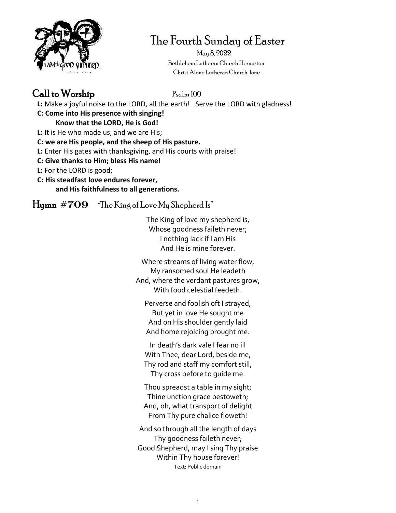

# The Fourth Sunday of Easter

 May 8, 2022 Bethlehem Lutheran Church Hermiston Christ Alone Lutheran Church, Ione

## $Call to Worship$   $Psalm 100$

- **L:** Make a joyful noise to the LORD, all the earth! Serve the LORD with gladness!
- **C: Come into His presence with singing!**
- **Know that the LORD, He is God!**
- **L:** It is He who made us, and we are His;
- **C: we are His people, and the sheep of His pasture.**
- **L:** Enter His gates with thanksgiving, and His courts with praise!
- **C: Give thanks to Him; bless His name!**
- **L:** For the LORD is good;
- **C: His steadfast love endures forever, and His faithfulness to all generations.**

Hymn **#709** "The King of Love My Shepherd Is"

The King of love my shepherd is, Whose goodness faileth never; I nothing lack if I am His And He is mine forever.

Where streams of living water flow, My ransomed soul He leadeth And, where the verdant pastures grow, With food celestial feedeth.

Perverse and foolish oft I strayed, But yet in love He sought me And on His shoulder gently laid And home rejoicing brought me.

In death's dark vale I fear no ill With Thee, dear Lord, beside me, Thy rod and staff my comfort still, Thy cross before to guide me.

Thou spreadst a table in my sight; Thine unction grace bestoweth; And, oh, what transport of delight From Thy pure chalice floweth!

And so through all the length of days Thy goodness faileth never; Good Shepherd, may I sing Thy praise Within Thy house forever! Text: Public domain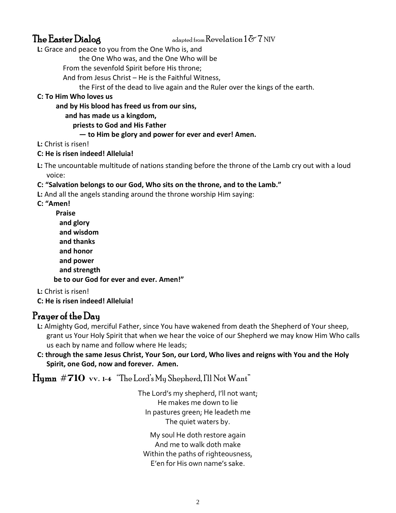**The Easter Dialog** adapted from Revelation  $1 \& 7$  NIV

**L:** Grace and peace to you from the One Who is, and

the One Who was, and the One Who will be

From the sevenfold Spirit before His throne;

And from Jesus Christ – He is the Faithful Witness,

the First of the dead to live again and the Ruler over the kings of the earth.

**C: To Him Who loves us**

**and by His blood has freed us from our sins,**

**and has made us a kingdom,** 

 **priests to God and His Father** 

- **— to Him be glory and power for ever and ever! Amen.**
- **L:** Christ is risen!
- **C: He is risen indeed! Alleluia!**
- **L:** The uncountable multitude of nations standing before the throne of the Lamb cry out with a loud voice:

## **C: "Salvation belongs to our God, Who sits on the throne, and to the Lamb."**

**L:** And all the angels standing around the throne worship Him saying:

**C: "Amen!** 

**Praise and glory and wisdom and thanks and honor and power and strength be to our God for ever and ever. Amen!"**

**L:** Christ is risen!

**C: He is risen indeed! Alleluia!**

## Prayer of the Day

- **L:** Almighty God, merciful Father, since You have wakened from death the Shepherd of Your sheep, grant us Your Holy Spirit that when we hear the voice of our Shepherd we may know Him Who calls us each by name and follow where He leads;
- **C: through the same Jesus Christ, Your Son, our Lord, Who lives and reigns with You and the Holy Spirit, one God, now and forever. Amen.**

Hymn **#710 vv. 1-4** "The Lord's My Shepherd, I'll Not Want"

The Lord's my shepherd, I'll not want; He makes me down to lie In pastures green; He leadeth me The quiet waters by.

My soul He doth restore again And me to walk doth make Within the paths of righteousness, E'en for His own name's sake.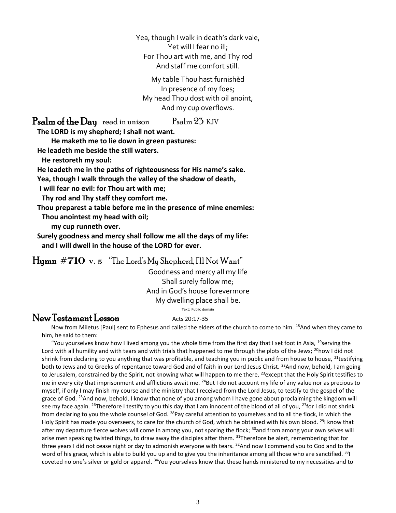Yea, though I walk in death's dark vale, Yet will I fear no ill; For Thou art with me, and Thy rod And staff me comfort still.

My table Thou hast furnishèd In presence of my foes; My head Thou dost with oil anoint, And my cup overflows.

Psalm of the Day read in unison Psalm 23 KJV

**The LORD is my shepherd; I shall not want.**

**He maketh me to lie down in green pastures:**

**He leadeth me beside the still waters.**

**He restoreth my soul:**

**He leadeth me in the paths of righteousness for His name's sake.**

**Yea, though I walk through the valley of the shadow of death,** 

 **I will fear no evil: for Thou art with me;**

**Thy rod and Thy staff they comfort me.**

**Thou preparest a table before me in the presence of mine enemies:** 

**Thou anointest my head with oil;**

**my cup runneth over.**

**Surely goodness and mercy shall follow me all the days of my life: and I will dwell in the house of the LORD for ever.**

Hymn **#710 v. 5** "The Lord's My Shepherd, I'll Not Want"

Goodness and mercy all my life Shall surely follow me; And in God's house forevermore My dwelling place shall be. Text: Public domain

## New Testament Lesson Acts 20:17-35

Now from Miletus [Paul] sent to Ephesus and called the elders of the church to come to him. <sup>18</sup>And when they came to him, he said to them:

"You yourselves know how I lived among you the whole time from the first day that I set foot in Asia,  $^{19}$ serving the Lord with all humility and with tears and with trials that happened to me through the plots of the Jews; <sup>20</sup>how I did not shrink from declaring to you anything that was profitable, and teaching you in public and from house to house, <sup>21</sup>testifying both to Jews and to Greeks of repentance toward God and of faith in our Lord Jesus Christ. <sup>22</sup>And now, behold, I am going to Jerusalem, constrained by the Spirit, not knowing what will happen to me there,  $^{23}$ except that the Holy Spirit testifies to me in every city that imprisonment and afflictions await me. <sup>24</sup>But I do not account my life of any value nor as precious to myself, if only I may finish my course and the ministry that I received from the Lord Jesus, to testify to the gospel of the grace of God. <sup>25</sup>And now, behold, I know that none of you among whom I have gone about proclaiming the kingdom will see my face again. <sup>26</sup>Therefore I testify to you this day that I am innocent of the blood of all of you, <sup>27</sup>for I did not shrink from declaring to you the whole counsel of God. <sup>28</sup>Pay careful attention to yourselves and to all the flock, in which the Holy Spirit has made you overseers, to care for the church of God, which he obtained with his own blood. <sup>29</sup>I know that after my departure fierce wolves will come in among you, not sparing the flock; <sup>30</sup>and from among your own selves will arise men speaking twisted things, to draw away the disciples after them. <sup>31</sup>Therefore be alert, remembering that for three years I did not cease night or day to admonish everyone with tears. <sup>32</sup>And now I commend you to God and to the word of his grace, which is able to build you up and to give you the inheritance among all those who are sanctified. 331 coveted no one's silver or gold or apparel. <sup>34</sup>You yourselves know that these hands ministered to my necessities and to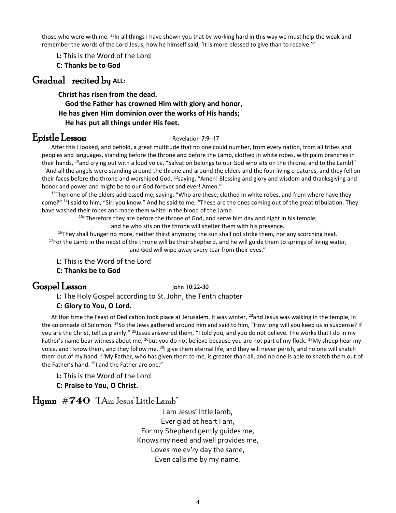those who were with me. <sup>35</sup>In all things I have shown you that by working hard in this way we must help the weak and remember the words of the Lord Jesus, how he himself said, 'It is more blessed to give than to receive.'"

**L:** This is the Word of the Lord **C: Thanks be to God**

## Gradual recited by **ALL:**

**Christ has risen from the dead.**

**God the Father has crowned Him with glory and honor, He has given Him dominion over the works of His hands; He has put all things under His feet.**

## Epistle Lesson Revelation 7:9–17

After this I looked, and behold, a great multitude that no one could number, from every nation, from all tribes and peoples and languages, standing before the throne and before the Lamb, clothed in white robes, with palm branches in their hands, <sup>10</sup>and crying out with a loud voice, "Salvation belongs to our God who sits on the throne, and to the Lamb!"  $11$ And all the angels were standing around the throne and around the elders and the four living creatures, and they fell on their faces before the throne and worshiped God, <sup>12</sup>saying, "Amen! Blessing and glory and wisdom and thanksgiving and honor and power and might be to our God forever and ever! Amen."

 $13$ Then one of the elders addressed me, saying, "Who are these, clothed in white robes, and from where have they come?" <sup>14</sup>I said to him, "Sir, you know." And he said to me, "These are the ones coming out of the great tribulation. They have washed their robes and made them white in the blood of the Lamb.

<sup>15</sup>"Therefore they are before the throne of God, and serve him day and night in his temple;

and he who sits on the throne will shelter them with his presence.

 $16$ They shall hunger no more, neither thirst anymore; the sun shall not strike them, nor any scorching heat.  $17$ For the Lamb in the midst of the throne will be their shepherd, and he will guide them to springs of living water, and God will wipe away every tear from their eyes."

**L:** This is the Word of the Lord **C: Thanks be to God**

## Gospel Lesson John 10:22-30

**L:** The Holy Gospel according to St. John, the Tenth chapter **C: Glory to You, O Lord.** 

At that time the Feast of Dedication took place at Jerusalem. It was winter, <sup>23</sup>and Jesus was walking in the temple, in the colonnade of Solomon. <sup>24</sup>So the Jews gathered around him and said to him, "How long will you keep us in suspense? If you are the Christ, tell us plainly." <sup>25</sup>Jesus answered them, "I told you, and you do not believe. The works that I do in my Father's name bear witness about me,  $^{26}$ but you do not believe because you are not part of my flock.  $^{27}$ My sheep hear my voice, and I know them, and they follow me. <sup>28</sup>I give them eternal life, and they will never perish, and no one will snatch them out of my hand. <sup>29</sup>My Father, who has given them to me, is greater than all, and no one is able to snatch them out of the Father's hand.  $30$ I and the Father are one."

**L:** This is the Word of the Lord **C: Praise to You, O Christ.** 

Hymn #740 "I Am Jesus' Little Lamb"

I am Jesus' little lamb, Ever glad at heart I am; For my Shepherd gently guides me, Knows my need and well provides me, Loves me ev'ry day the same, Even calls me by my name.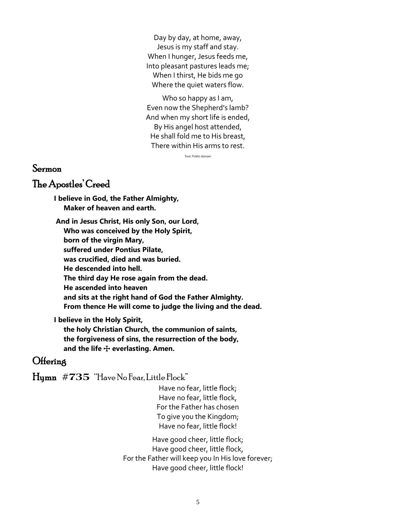Day by day, at home, away, Jesus is my staff and stay. When I hunger, Jesus feeds me, Into pleasant pastures leads me; When I thirst, He bids me go Where the quiet waters flow.

Who so happy as I am, Even now the Shepherd's lamb? And when my short life is ended, By His angel host attended, He shall fold me to His breast, There within His arms to rest.

Text: Public domain

## Sermon

## The Apostles' Creed

**I believe in God, the Father Almighty, Maker of heaven and earth.**

**And in Jesus Christ, His only Son, our Lord, Who was conceived by the Holy Spirit, born of the virgin Mary, suffered under Pontius Pilate, was crucified, died and was buried. He descended into hell. The third day He rose again from the dead. He ascended into heaven and sits at the right hand of God the Father Almighty. From thence He will come to judge the living and the dead.**

**I believe in the Holy Spirit,**

 **the holy Christian Church, the communion of saints, the forgiveness of sins, the resurrection of the body,** and the life  $\bigoplus$  everlasting. Amen.

## **Offering**

Hymn **#735** "Have No Fear, Little Flock"

Have no fear, little flock; Have no fear, little flock, For the Father has chosen To give you the Kingdom; Have no fear, little flock!

Have good cheer, little flock; Have good cheer, little flock, For the Father will keep you In His love forever; Have good cheer, little flock!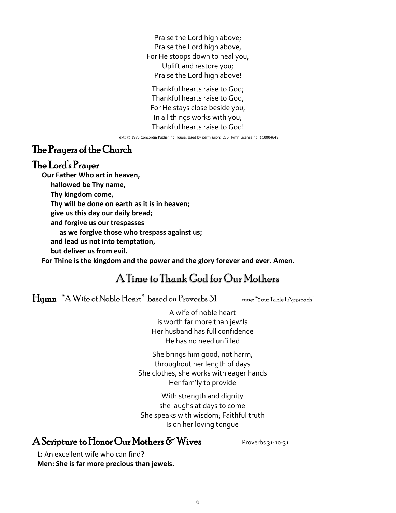Praise the Lord high above; Praise the Lord high above, For He stoops down to heal you, Uplift and restore you; Praise the Lord high above!

Thankful hearts raise to God; Thankful hearts raise to God, For He stays close beside you, In all things works with you; Thankful hearts raise to God!

Text: © 1973 Concordia Publishing House. Used by permission: LSB Hymn License no. 110004649

## The Prayers of the Church

#### The Lord's Prayer

**Our Father Who art in heaven, hallowed be Thy name, Thy kingdom come, Thy will be done on earth as it is in heaven; give us this day our daily bread; and forgive us our trespasses as we forgive those who trespass against us; and lead us not into temptation, but deliver us from evil.**

**For Thine is the kingdom and the power and the glory forever and ever. Amen.**

## A Time to Thank God for Our Mothers

 $\bf{H}$ ymn "A Wife of Noble Heart" based on Proverbs  $\rm{51}$  tune: "Your Table I Approach"

A wife of noble heart is worth far more than jew'ls Her husband has full confidence He has no need unfilled

She brings him good, not harm, throughout her length of days She clothes, she works with eager hands Her fam'ly to provide

With strength and dignity she laughs at days to come She speaks with wisdom; Faithful truth Is on her loving tongue

## A Scripture to Honor Our Mothers  $\delta$  Wives Proverbs 31:10-31

**L:** An excellent wife who can find? **Men: She is far more precious than jewels.**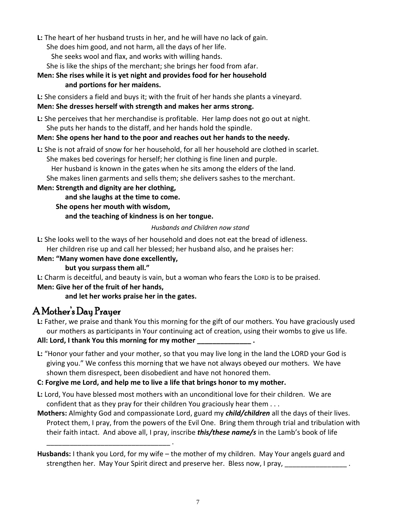**L:** The heart of her husband trusts in her, and he will have no lack of gain. She does him good, and not harm, all the days of her life. She seeks wool and flax, and works with willing hands.

She is like the ships of the merchant; she brings her food from afar.

## **Men: She rises while it is yet night and provides food for her household and portions for her maidens.**

**L:** She considers a field and buys it; with the fruit of her hands she plants a vineyard. **Men: She dresses herself with strength and makes her arms strong.**

**L:** She perceives that her merchandise is profitable. Her lamp does not go out at night. She puts her hands to the distaff, and her hands hold the spindle.

## **Men: She opens her hand to the poor and reaches out her hands to the needy.**

**L:** She is not afraid of snow for her household, for all her household are clothed in scarlet. She makes bed coverings for herself; her clothing is fine linen and purple.

Her husband is known in the gates when he sits among the elders of the land.

She makes linen garments and sells them; she delivers sashes to the merchant.

#### **Men: Strength and dignity are her clothing,**

**and she laughs at the time to come.**

**She opens her mouth with wisdom,**

**and the teaching of kindness is on her tongue.**

#### *Husbands and Children now stand*

**L:** She looks well to the ways of her household and does not eat the bread of idleness.

Her children rise up and call her blessed; her husband also, and he praises her:

**Men: "Many women have done excellently,**

## **but you surpass them all."**

\_\_\_\_\_\_\_\_\_\_\_\_\_\_\_\_\_\_\_\_\_\_\_\_\_\_\_\_\_\_\_\_ .

**L:** Charm is deceitful, and beauty is vain, but a woman who fears the LORD is to be praised.

#### **Men: Give her of the fruit of her hands,**

**and let her works praise her in the gates.**

## A Mother's Day Prayer

**L:** Father, we praise and thank You this morning for the gift of our mothers. You have graciously used our mothers as participants in Your continuing act of creation, using their wombs to give us life.

**All: Lord, I thank You this morning for my mother \_\_\_\_\_\_\_\_\_\_\_\_\_\_ .**

**L:** "Honor your father and your mother, so that you may live long in the land the LORD your God is giving you." We confess this morning that we have not always obeyed our mothers. We have shown them disrespect, been disobedient and have not honored them.

## **C: Forgive me Lord, and help me to live a life that brings honor to my mother.**

- **L:** Lord, You have blessed most mothers with an unconditional love for their children. We are confident that as they pray for their children You graciously hear them . . .
- **Mothers:** Almighty God and compassionate Lord, guard my *child/children* all the days of their lives. Protect them, I pray, from the powers of the Evil One. Bring them through trial and tribulation with their faith intact. And above all, I pray, inscribe *this/these name/s* in the Lamb's book of life

**Husbands:** I thank you Lord, for my wife – the mother of my children. May Your angels guard and strengthen her. May Your Spirit direct and preserve her. Bless now, I pray, \_\_\_\_\_\_\_\_\_\_\_\_